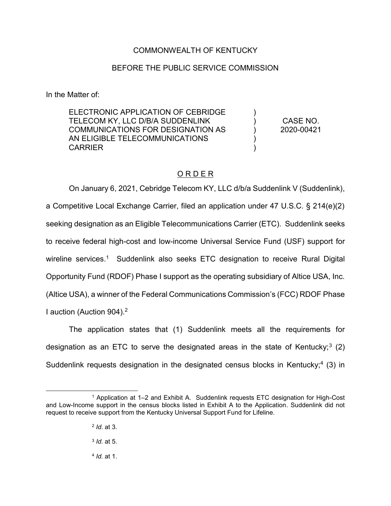# COMMONWEALTH OF KENTUCKY

### BEFORE THE PUBLIC SERVICE COMMISSION

In the Matter of:

ELECTRONIC APPLICATION OF CEBRIDGE TELECOM KY, LLC D/B/A SUDDENLINK COMMUNICATIONS FOR DESIGNATION AS AN ELIGIBLE TELECOMMUNICATIONS **CARRIER** 

CASE NO. 2020-00421

) ) ) ) )

# O R D E R

On January 6, 2021, Cebridge Telecom KY, LLC d/b/a Suddenlink V (Suddenlink), a Competitive Local Exchange Carrier, filed an application under 47 U.S.C. § 214(e)(2) seeking designation as an Eligible Telecommunications Carrier (ETC). Suddenlink seeks to receive federal high-cost and low-income Universal Service Fund (USF) support for wireline services.<sup>1</sup> Suddenlink also seeks ETC designation to receive Rural Digital Opportunity Fund (RDOF) Phase I support as the operating subsidiary of Altice USA, Inc. (Altice USA), a winner of the Federal Communications Commission's (FCC) RDOF Phase I auction (Auction 904).2

The application states that (1) Suddenlink meets all the requirements for designation as an ETC to serve the designated areas in the state of Kentucky;<sup>3</sup> (2) Suddenlink requests designation in the designated census blocks in Kentucky;<sup>4</sup> (3) in

 <sup>1</sup> Application at 1–<sup>2</sup> and Exhibit A. Suddenlink requests ETC designation for High-Cost and Low-Income support in the census blocks listed in Exhibit A to the Application. Suddenlink did not request to receive support from the Kentucky Universal Support Fund for Lifeline.

<sup>2</sup> *Id.* at 3.

<sup>3</sup> *Id.* at 5.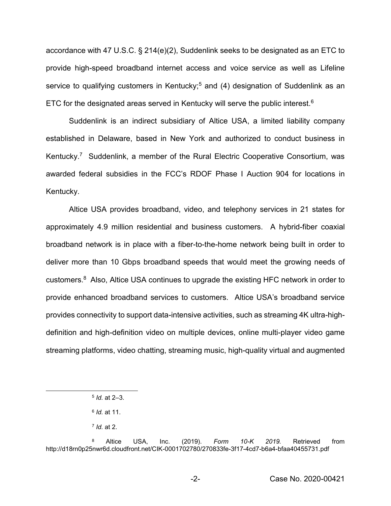accordance with 47 U.S.C. § 214(e)(2), Suddenlink seeks to be designated as an ETC to provide high-speed broadband internet access and voice service as well as Lifeline service to qualifying customers in Kentucky;<sup>5</sup> and (4) designation of Suddenlink as an ETC for the designated areas served in Kentucky will serve the public interest.<sup>6</sup>

Suddenlink is an indirect subsidiary of Altice USA, a limited liability company established in Delaware, based in New York and authorized to conduct business in Kentucky. <sup>7</sup> Suddenlink, a member of the Rural Electric Cooperative Consortium, was awarded federal subsidies in the FCC's RDOF Phase I Auction 904 for locations in Kentucky.

Altice USA provides broadband, video, and telephony services in 21 states for approximately 4.9 million residential and business customers. A hybrid-fiber coaxial broadband network is in place with a fiber-to-the-home network being built in order to deliver more than 10 Gbps broadband speeds that would meet the growing needs of customers.8 Also, Altice USA continues to upgrade the existing HFC network in order to provide enhanced broadband services to customers. Altice USA's broadband service provides connectivity to support data-intensive activities, such as streaming 4K ultra-highdefinition and high-definition video on multiple devices, online multi-player video game streaming platforms, video chatting, streaming music, high-quality virtual and augmented

 <sup>5</sup> *Id.* at 2–3.

<sup>6</sup> *Id.* at 11.

<sup>7</sup> *Id.* at 2.

<sup>8</sup> Altice USA, Inc. (2019). *Form 10-K 2019.* Retrieved from http://d18rn0p25nwr6d.cloudfront.net/CIK-0001702780/270833fe-3f17-4cd7-b6a4-bfaa40455731.pdf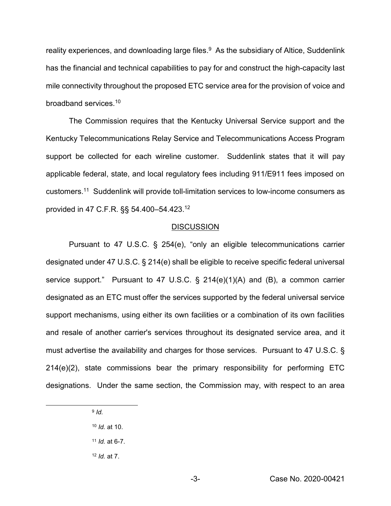reality experiences, and downloading large files.<sup>9</sup> As the subsidiary of Altice, Suddenlink has the financial and technical capabilities to pay for and construct the high-capacity last mile connectivity throughout the proposed ETC service area for the provision of voice and broadband services.10

The Commission requires that the Kentucky Universal Service support and the Kentucky Telecommunications Relay Service and Telecommunications Access Program support be collected for each wireline customer. Suddenlink states that it will pay applicable federal, state, and local regulatory fees including 911/E911 fees imposed on customers.11 Suddenlink will provide toll-limitation services to low-income consumers as provided in 47 C.F.R. §§ 54.400–54.423.12

#### **DISCUSSION**

Pursuant to 47 U.S.C. § 254(e), "only an eligible telecommunications carrier designated under 47 U.S.C. § 214(e) shall be eligible to receive specific federal universal service support." Pursuant to 47 U.S.C. § 214(e)(1)(A) and (B), a common carrier designated as an ETC must offer the services supported by the federal universal service support mechanisms, using either its own facilities or a combination of its own facilities and resale of another carrier's services throughout its designated service area, and it must advertise the availability and charges for those services. Pursuant to 47 U.S.C. § 214(e)(2), state commissions bear the primary responsibility for performing ETC designations. Under the same section, the Commission may, with respect to an area

9 *Id.*

<sup>11</sup> *Id.* at 6-7.

<sup>12</sup> *Id.* at 7.

<sup>10</sup> *Id.* at 10.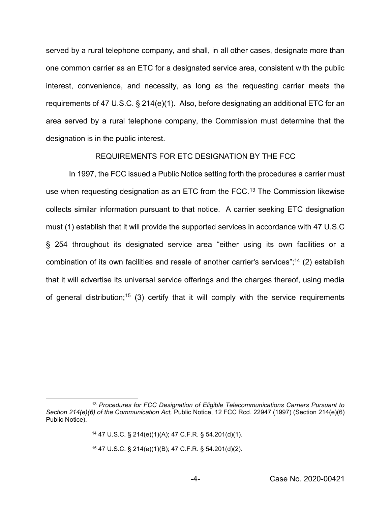served by a rural telephone company, and shall, in all other cases, designate more than one common carrier as an ETC for a designated service area, consistent with the public interest, convenience, and necessity, as long as the requesting carrier meets the requirements of 47 U.S.C. § 214(e)(1). Also, before designating an additional ETC for an area served by a rural telephone company, the Commission must determine that the designation is in the public interest.

#### REQUIREMENTS FOR ETC DESIGNATION BY THE FCC

In 1997, the FCC issued a Public Notice setting forth the procedures a carrier must use when requesting designation as an ETC from the FCC.<sup>13</sup> The Commission likewise collects similar information pursuant to that notice. A carrier seeking ETC designation must (1) establish that it will provide the supported services in accordance with 47 U.S.C § 254 throughout its designated service area "either using its own facilities or a combination of its own facilities and resale of another carrier's services"; <sup>14</sup> (2) establish that it will advertise its universal service offerings and the charges thereof, using media of general distribution;<sup>15</sup> (3) certify that it will comply with the service requirements

<sup>15</sup> 47 U.S.C. § 214(e)(1)(B); 47 C.F.R. § 54.201(d)(2).

 <sup>13</sup> *Procedures for FCC Designation of Eligible Telecommunications Carriers Pursuant to Section 214(e)(6) of the Communication Act,* Public Notice, 12 FCC Rcd. 22947 (1997) (Section 214(e)(6) Public Notice).

<sup>14</sup> 47 U.S.C. § 214(e)(1)(A); 47 C.F.R. § 54.201(d)(1).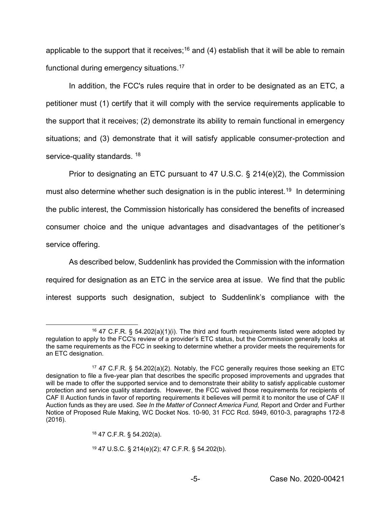applicable to the support that it receives;<sup>16</sup> and (4) establish that it will be able to remain functional during emergency situations.17

In addition, the FCC's rules require that in order to be designated as an ETC, a petitioner must (1) certify that it will comply with the service requirements applicable to the support that it receives; (2) demonstrate its ability to remain functional in emergency situations; and (3) demonstrate that it will satisfy applicable consumer-protection and service-quality standards. <sup>18</sup>

Prior to designating an ETC pursuant to 47 U.S.C. § 214(e)(2), the Commission must also determine whether such designation is in the public interest.<sup>19</sup> In determining the public interest, the Commission historically has considered the benefits of increased consumer choice and the unique advantages and disadvantages of the petitioner's service offering.

As described below, Suddenlink has provided the Commission with the information required for designation as an ETC in the service area at issue. We find that the public interest supports such designation, subject to Suddenlink's compliance with the

<sup>&</sup>lt;sup>16</sup> 47 C.F.R. § 54.202(a)(1)(i). The third and fourth requirements listed were adopted by regulation to apply to the FCC's review of a provider's ETC status, but the Commission generally looks at the same requirements as the FCC in seeking to determine whether a provider meets the requirements for an ETC designation.

<sup>17</sup> 47 C.F.R. § 54.202(a)(2). Notably, the FCC generally requires those seeking an ETC designation to file a five-year plan that describes the specific proposed improvements and upgrades that will be made to offer the supported service and to demonstrate their ability to satisfy applicable customer protection and service quality standards. However, the FCC waived those requirements for recipients of CAF II Auction funds in favor of reporting requirements it believes will permit it to monitor the use of CAF II Auction funds as they are used. *See In the Matter of Connect America Fund,* Report and Order and Further Notice of Proposed Rule Making, WC Docket Nos. 10-90, 31 FCC Rcd. 5949, 6010-3, paragraphs 172-8 (2016).

<sup>18</sup> 47 C.F.R. § 54.202(a).

<sup>19</sup> 47 U.S.C. § 214(e)(2); 47 C.F.R. § 54.202(b).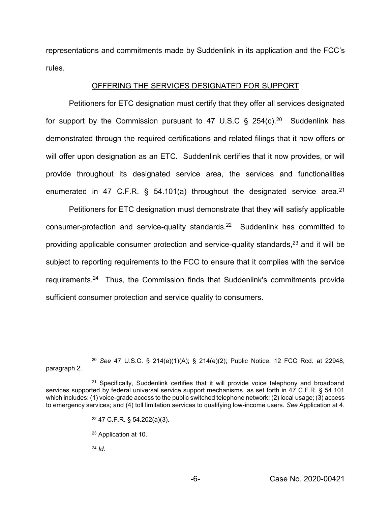representations and commitments made by Suddenlink in its application and the FCC's rules.

### OFFERING THE SERVICES DESIGNATED FOR SUPPORT

Petitioners for ETC designation must certify that they offer all services designated for support by the Commission pursuant to 47 U.S.C  $\S$  254(c).<sup>20</sup> Suddenlink has demonstrated through the required certifications and related filings that it now offers or will offer upon designation as an ETC. Suddenlink certifies that it now provides, or will provide throughout its designated service area, the services and functionalities enumerated in 47 C.F.R.  $\S$  54.101(a) throughout the designated service area.<sup>21</sup>

Petitioners for ETC designation must demonstrate that they will satisfy applicable consumer-protection and service-quality standards.22 Suddenlink has committed to providing applicable consumer protection and service-quality standards, $23$  and it will be subject to reporting requirements to the FCC to ensure that it complies with the service requirements.24 Thus, the Commission finds that Suddenlink's commitments provide sufficient consumer protection and service quality to consumers.

<sup>24</sup> *Id.*

 <sup>20</sup> *See* 47 U.S.C. § 214(e)(1)(A); § 214(e)(2); Public Notice, 12 FCC Rcd. at 22948, paragraph 2.

<sup>&</sup>lt;sup>21</sup> Specifically, Suddenlink certifies that it will provide voice telephony and broadband services supported by federal universal service support mechanisms, as set forth in 47 C.F.R. § 54.101 which includes: (1) voice-grade access to the public switched telephone network; (2) local usage; (3) access to emergency services; and (4) toll limitation services to qualifying low-income users. *See* Application at 4.

<sup>22</sup> 47 C.F.R. § 54.202(a)(3).

<sup>23</sup> Application at 10.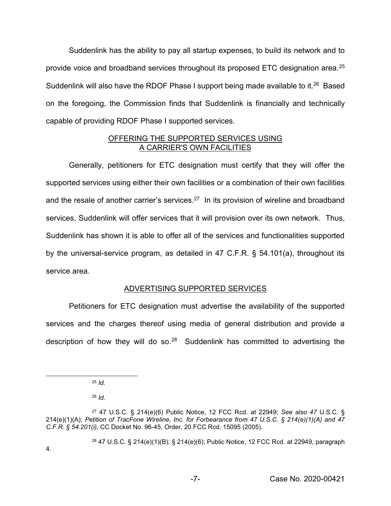Suddenlink has the ability to pay all startup expenses, to build its network and to provide voice and broadband services throughout its proposed ETC designation area.25 Suddenlink will also have the RDOF Phase I support being made available to it.<sup>26</sup> Based on the foregoing, the Commission finds that Suddenlink is financially and technically capable of providing RDOF Phase I supported services.

### OFFERING THE SUPPORTED SERVICES USING A CARRIER'S OWN FACILITIES

Generally, petitioners for ETC designation must certify that they will offer the supported services using either their own facilities or a combination of their own facilities and the resale of another carrier's services.<sup>27</sup> In its provision of wireline and broadband services, Suddenlink will offer services that it will provision over its own network. Thus, Suddenlink has shown it is able to offer all of the services and functionalities supported by the universal-service program, as detailed in 47 C.F.R. § 54.101(a), throughout its service area.

# ADVERTISING SUPPORTED SERVICES

Petitioners for ETC designation must advertise the availability of the supported services and the charges thereof using media of general distribution and provide a description of how they will do so. $28$  Suddenlink has committed to advertising the

<sup>26</sup> *Id.*

<sup>28</sup> 47 U.S.C. § 214(e)(1)(B); § 214(e)(6); Public Notice, 12 FCC Rcd. at 22949, paragraph

 <sup>25</sup> *Id.* 

<sup>27</sup> 47 U.S.C. § 214(e)(6) Public Notice, 12 FCC Rcd. at 22949; *See also 47* U.S.C. § 214(e)(1)(A); *Petition of TracFone Wireline, Inc. for Forbearance from 47 U.S.C. § 214(e)(1)(A) and 47 C.F.R. § 54.201(i),* CC Docket No. 96-45, Order, 20 FCC Rcd. 15095 (2005)*.*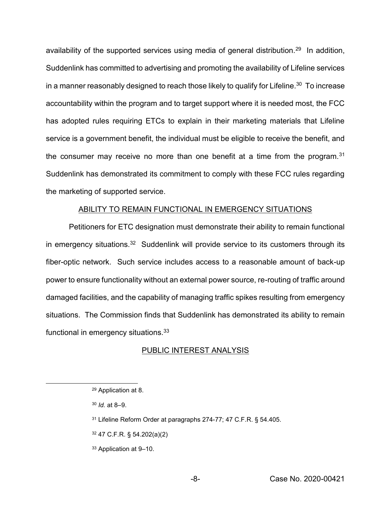availability of the supported services using media of general distribution.<sup>29</sup> In addition, Suddenlink has committed to advertising and promoting the availability of Lifeline services in a manner reasonably designed to reach those likely to qualify for Lifeline.<sup>30</sup> To increase accountability within the program and to target support where it is needed most, the FCC has adopted rules requiring ETCs to explain in their marketing materials that Lifeline service is a government benefit, the individual must be eligible to receive the benefit, and the consumer may receive no more than one benefit at a time from the program.<sup>31</sup> Suddenlink has demonstrated its commitment to comply with these FCC rules regarding the marketing of supported service.

#### ABILITY TO REMAIN FUNCTIONAL IN EMERGENCY SITUATIONS

Petitioners for ETC designation must demonstrate their ability to remain functional in emergency situations.<sup>32</sup> Suddenlink will provide service to its customers through its fiber-optic network. Such service includes access to a reasonable amount of back-up power to ensure functionality without an external power source, re-routing of traffic around damaged facilities, and the capability of managing traffic spikes resulting from emergency situations. The Commission finds that Suddenlink has demonstrated its ability to remain functional in emergency situations.<sup>33</sup>

#### PUBLIC INTEREST ANALYSIS

<sup>33</sup> Application at 9–10.

 <sup>29</sup> Application at 8.

<sup>30</sup> *Id.* at 8–9.

<sup>31</sup> Lifeline Reform Order at paragraphs 274-77; 47 C.F.R. § 54.405.

<sup>32</sup> 47 C.F.R. § 54.202(a)(2)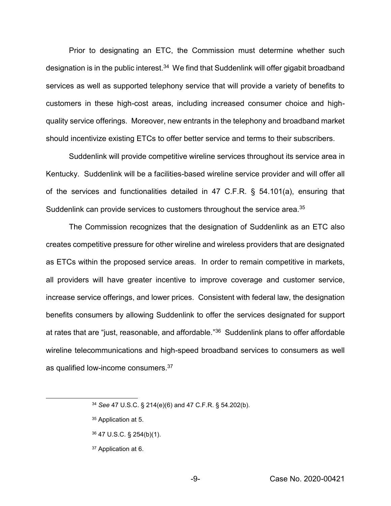Prior to designating an ETC, the Commission must determine whether such designation is in the public interest.<sup>34</sup> We find that Suddenlink will offer gigabit broadband services as well as supported telephony service that will provide a variety of benefits to customers in these high-cost areas, including increased consumer choice and highquality service offerings. Moreover, new entrants in the telephony and broadband market should incentivize existing ETCs to offer better service and terms to their subscribers.

Suddenlink will provide competitive wireline services throughout its service area in Kentucky. Suddenlink will be a facilities-based wireline service provider and will offer all of the services and functionalities detailed in 47 C.F.R. § 54.101(a), ensuring that Suddenlink can provide services to customers throughout the service area.<sup>35</sup>

The Commission recognizes that the designation of Suddenlink as an ETC also creates competitive pressure for other wireline and wireless providers that are designated as ETCs within the proposed service areas. In order to remain competitive in markets, all providers will have greater incentive to improve coverage and customer service, increase service offerings, and lower prices. Consistent with federal law, the designation benefits consumers by allowing Suddenlink to offer the services designated for support at rates that are "just, reasonable, and affordable."<sup>36</sup> Suddenlink plans to offer affordable wireline telecommunications and high-speed broadband services to consumers as well as qualified low-income consumers.<sup>37</sup>

- <sup>36</sup> 47 U.S.C. § 254(b)(1).
- <sup>37</sup> Application at 6.

 <sup>34</sup> *See* 47 U.S.C. § 214(e)(6) and 47 C.F.R. § 54.202(b).

<sup>35</sup> Application at 5.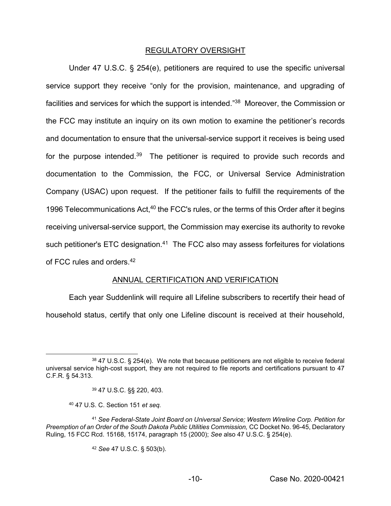### REGULATORY OVERSIGHT

Under 47 U.S.C. § 254(e), petitioners are required to use the specific universal service support they receive "only for the provision, maintenance, and upgrading of facilities and services for which the support is intended."<sup>38</sup> Moreover, the Commission or the FCC may institute an inquiry on its own motion to examine the petitioner's records and documentation to ensure that the universal-service support it receives is being used for the purpose intended.<sup>39</sup> The petitioner is required to provide such records and documentation to the Commission, the FCC, or Universal Service Administration Company (USAC) upon request. If the petitioner fails to fulfill the requirements of the 1996 Telecommunications Act,<sup>40</sup> the FCC's rules, or the terms of this Order after it begins receiving universal-service support, the Commission may exercise its authority to revoke such petitioner's ETC designation.<sup>41</sup> The FCC also may assess forfeitures for violations of FCC rules and orders.42

# ANNUAL CERTIFICATION AND VERIFICATION

Each year Suddenlink will require all Lifeline subscribers to recertify their head of household status, certify that only one Lifeline discount is received at their household,

<sup>40</sup> 47 U.S. C. Section 151 *et seq.*

<sup>42</sup> *See* 47 U.S.C. § 503(b).

 <sup>38</sup> 47 U.S.C. § 254(e). We note that because petitioners are not eligible to receive federal universal service high-cost support, they are not required to file reports and certifications pursuant to 47 C.F.R. § 54.313.

<sup>39</sup> 47 U.S.C. §§ 220, 403.

<sup>41</sup> *See Federal-State Joint Board on Universal Service; Western Wireline Corp. Petition for Preemption of an Order of the South Dakota Public Utilities Commission,* CC Docket No. 96-45, Declaratory Ruling, 15 FCC Rcd. 15168, 15174, paragraph 15 (2000); *See* also 47 U.S.C. § 254(e).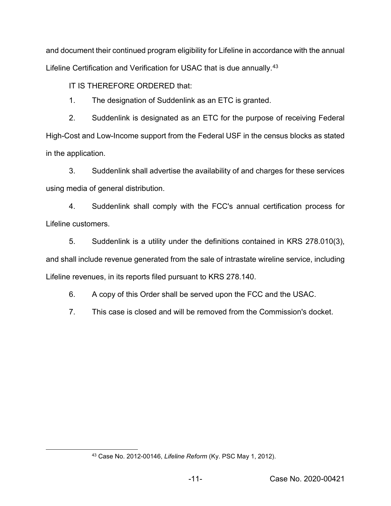and document their continued program eligibility for Lifeline in accordance with the annual Lifeline Certification and Verification for USAC that is due annually.<sup>43</sup>

IT IS THEREFORE ORDERED that:

1. The designation of Suddenlink as an ETC is granted.

2. Suddenlink is designated as an ETC for the purpose of receiving Federal High-Cost and Low-Income support from the Federal USF in the census blocks as stated in the application.

3. Suddenlink shall advertise the availability of and charges for these services using media of general distribution.

4. Suddenlink shall comply with the FCC's annual certification process for Lifeline customers.

5. Suddenlink is a utility under the definitions contained in KRS 278.010(3), and shall include revenue generated from the sale of intrastate wireline service, including Lifeline revenues, in its reports filed pursuant to KRS 278.140.

6. A copy of this Order shall be served upon the FCC and the USAC.

7. This case is closed and will be removed from the Commission's docket.

 <sup>43</sup> Case No. 2012-00146, *Lifeline Reform* (Ky. PSC May 1, 2012).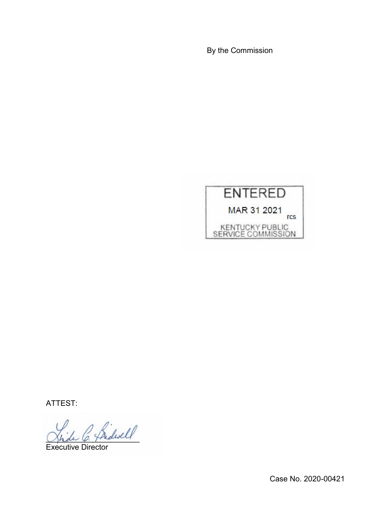By the Commission



ATTEST:

 $\overleftrightarrow{\text{A}\text{.dwell}}$ 

Executive Director

Case No. 2020-00421